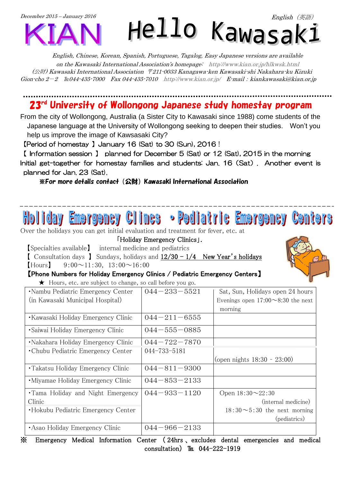

English, Chinese, Korean, Spanish, Portuguese, Tagalog, Easy Japanese versions are available on the Kawasaki International Association's homepage: <http://www.kian.or.jp/hlkwsk.html> (公財) Kawasaki International Association 〒211-0033 Kanagawa-ken Kawasaki-shi Nakahara-ku Kizuki Gion-cho  $2-2$  En 044-435-7000 Fax 044-435-7010 <http://www.kian.or.jp/>E-mail: kiankawasaki@kian.or.jp

## 23<sup>rd</sup> University of Wollongong Japanese study homestay program

<u>...............</u>

From the city of Wollongong, Australia (a Sister City to Kawasaki since 1988) come students of the Japanese language at the University of Wollongong seeking to deepen their studies. Won't you help us improve the image of Kawsasaki City?

【Period of homestay 】January 16 (Sat) to 30 (Sun), 2016 !

【 Information session 】 planned for December 5 (Sat) or 12 (Sat), 2015 in the morning Initial get-together for homestay families and students: Jan. 16(Sat). Another event is planned for Jan. 23 (Sat).

※For more details contact(公財)Kawasaki International Association

## • Pediatric Emergency Centers ne rae me v

Over the holidays you can get initial evaluation and treatment for fever, etc. at

「Holiday Emergency Clinics」.

【Specialties available】 internal medicine and pediatrics **[** Consultation days ] Sundays, holidays and  $12/30 - 1/4$  New Year's holidays

 $[$ Hours $]$  9:00 $\sim$ 11:30, 13:00 $\sim$ 16:00

【Phone Numbers for Holiday Emergency Clinics / Pediatric Emergency Centers】

★ Hours, etc. are subject to change, so call before you go.

| $\sim$ and $\sim$ and $\sim$ and $\sim$ and $\sim$ and $\sim$ and $\sim$ and $\sim$ and $\sim$ and $\sim$ |                    |                                          |
|-----------------------------------------------------------------------------------------------------------|--------------------|------------------------------------------|
| •Nambu Pediatric Emergency Center                                                                         | $044 - 233 - 5521$ | Sat, Sun, Holidays open 24 hours         |
| (in Kawasaki Municipal Hospital)                                                                          |                    | Evenings open $17:00 \sim 8:30$ the next |
|                                                                                                           |                    | morning                                  |
| •Kawasaki Holiday Emergency Clinic                                                                        | $044 - 211 - 6555$ |                                          |
| • Saiwai Holiday Emergency Clinic                                                                         | $044 - 555 - 0885$ |                                          |
| • Nakahara Holiday Emergency Clinic                                                                       | $044 - 722 - 7870$ |                                          |
| • Chubu Pediatric Emergency Center                                                                        | 044-733-5181       |                                          |
|                                                                                                           |                    | (open nights $18:30 - 23:00$ )           |
| • Takatsu Holiday Emergency Clinic                                                                        | $044 - 811 - 9300$ |                                          |
| •Miyamae Holiday Emergency Clinic                                                                         | $044 - 853 - 2133$ |                                          |
| •Tama Holiday and Night Emergency                                                                         | $044 - 933 - 1120$ | Open $18:30 \sim 22:30$                  |
| Clinic                                                                                                    |                    | (internal medicine)                      |
| •Hokubu Pediatric Emergency Center                                                                        |                    | $18:30 \sim 5:30$ the next morning       |
|                                                                                                           |                    | (pediatrics)                             |
| • Asao Holiday Emergency Clinic                                                                           | $044 - 966 - 2133$ |                                          |

※ Emergency Medical Information Center ( 24hrs 、 excludes dental emergencies and medical consultation)  $\text{It}$  044-222-1919